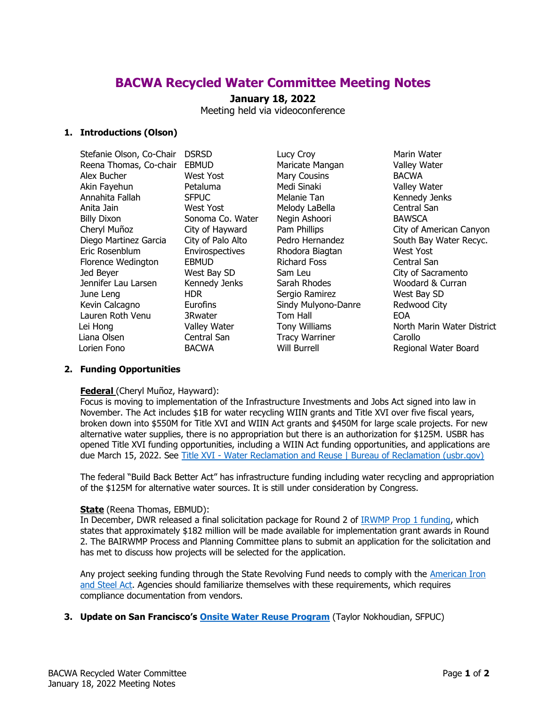# **BACWA Recycled Water Committee Meeting Notes**

# **January 18, 2022**

Meeting held via videoconference

## **1. Introductions (Olson)**

Stefanie Olson, Co-Chair DSRSD Reena Thomas, Co-chair EBMUD Alex Bucher West Yost Akin Fayehun Petaluma Annahita Fallah SFPUC Anita Jain West Yost Billy Dixon Sonoma Co. Water Cheryl Muñoz City of Hayward Diego Martinez Garcia City of Palo Alto Eric Rosenblum Envirospectives Florence Wedington EBMUD Jed Beyer West Bay SD Jennifer Lau Larsen Kennedy Jenks June Leng HDR Kevin Calcagno Eurofins Lauren Roth Venu 3Rwater Lei Hong Valley Water Liana Olsen Central San Lorien Fono BACWA

Lucy Croy **Marin Water** Maricate Mangan Valley Water Mary Cousins **BACWA** Medi Sinaki **Valley Water** Melanie Tan Kennedy Jenks Melody LaBella Central San Negin Ashoori BAWSCA Rhodora Biagtan West Yost Richard Foss Central San Sarah Rhodes Woodard & Curran Sergio Ramirez West Bay SD Sindy Mulyono-Danre Redwood City Tom Hall EOA Tracy Warriner Carollo

Pam Phillips **City of American Canyon** Pedro Hernandez South Bay Water Recyc. Sam Leu City of Sacramento Tony Williams North Marin Water District Will Burrell **Regional Water Board** 

## **2. Funding Opportunities**

## **Federal** (Cheryl Muñoz, Hayward):

Focus is moving to implementation of the Infrastructure Investments and Jobs Act signed into law in November. The Act includes \$1B for water recycling WIIN grants and Title XVI over five fiscal years, broken down into \$550M for Title XVI and WIIN Act grants and \$450M for large scale projects. For new alternative water supplies, there is no appropriation but there is an authorization for \$125M. USBR has opened Title XVI funding opportunities, including a WIIN Act funding opportunities, and applications are due March 15, 2022. See Title XVI - [Water Reclamation and Reuse | Bureau of Reclamation \(usbr.gov\)](https://www.usbr.gov/watersmart/title/)

The federal "Build Back Better Act" has infrastructure funding including water recycling and appropriation of the \$125M for alternative water sources. It is still under consideration by Congress.

## **State** (Reena Thomas, EBMUD):

In December, DWR released a final solicitation package for Round 2 of [IRWMP Prop 1 funding,](https://water.ca.gov/Work-With-Us/Grants-And-Loans/IRWM-Grant-Programs/Proposition-1/Implementation-Grants) which states that approximately \$182 million will be made available for implementation grant awards in Round 2. The BAIRWMP Process and Planning Committee plans to submit an application for the solicitation and has met to discuss how projects will be selected for the application.

Any project seeking funding through the State Revolving Fund needs to comply with the [American Iron](https://www.waterboards.ca.gov/water_issues/programs/grants_loans/srf/docs/ais_compliance.pdf)  [and Steel Act.](https://www.waterboards.ca.gov/water_issues/programs/grants_loans/srf/docs/ais_compliance.pdf) Agencies should familiarize themselves with these requirements, which requires compliance documentation from vendors.

**3. Update on San Francisco's [Onsite Water Reuse Program](https://sfpuc.org/construction-contracts/design-guidelines-standards/onsite-water-reuse)** (Taylor Nokhoudian, SFPUC)